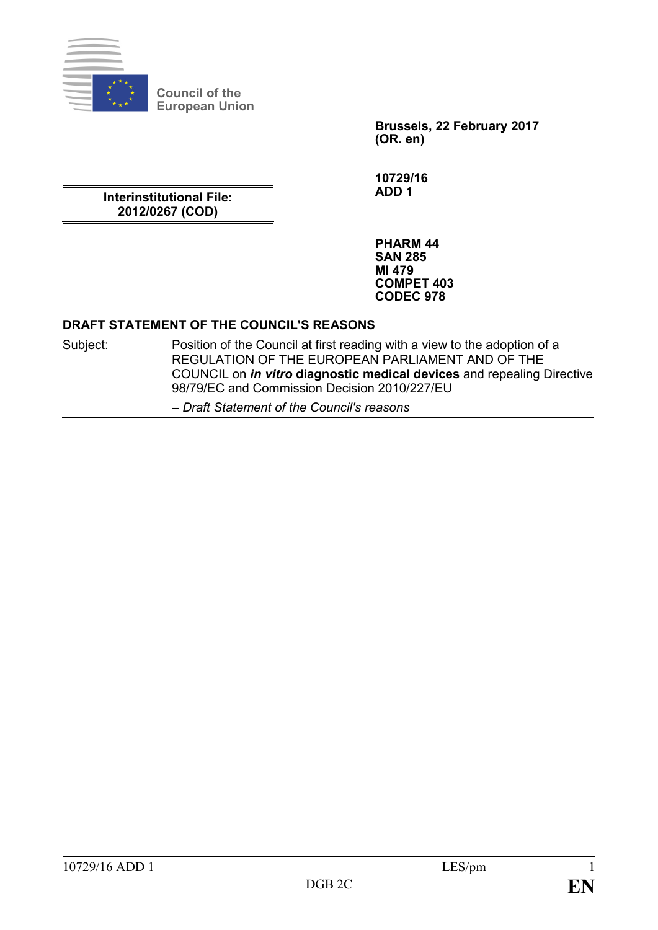

**Council of the European Union**

> **Brussels, 22 February 2017 (OR. en)**

**10729/16 ADD 1**

**Interinstitutional File: 2012/0267 (COD)**

> **PHARM 44 SAN 285 MI 479 COMPET 403 CODEC 978**

#### **DRAFT STATEMENT OF THE COUNCIL'S REASONS**

Subject: Position of the Council at first reading with a view to the adoption of a REGULATION OF THE EUROPEAN PARLIAMENT AND OF THE COUNCIL on *in vitro* **diagnostic medical devices** and repealing Directive 98/79/EC and Commission Decision 2010/227/EU *– Draft Statement of the Council's reasons*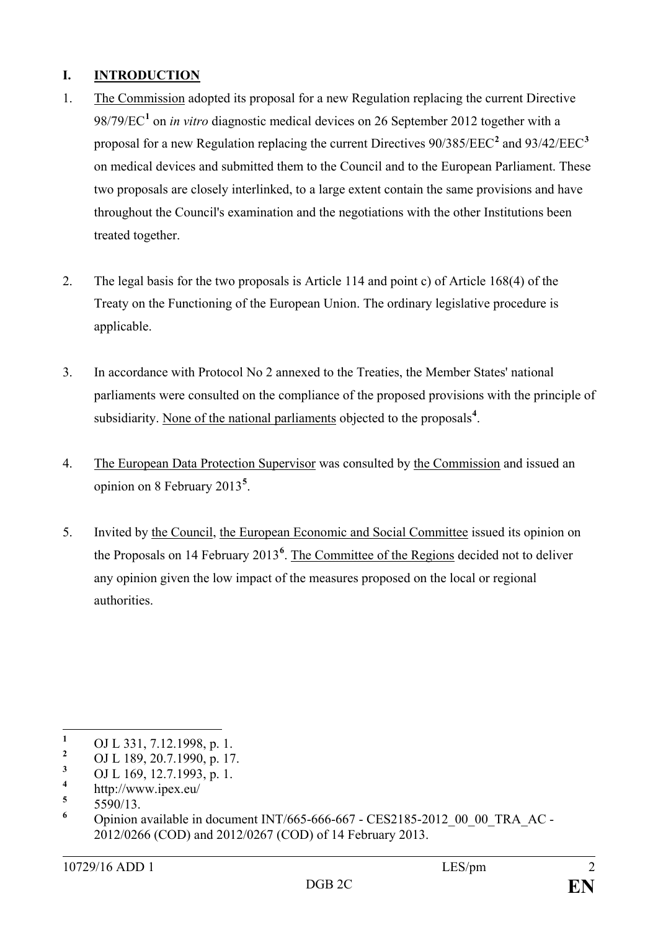## **I. INTRODUCTION**

- 1. The Commission adopted its proposal for a new Regulation replacing the current Directive 98/79/EC**[1](#page-1-0)** on *in vitro* diagnostic medical devices on 26 September 2012 together with a proposal for a new Regulation replacing the current Directives 90/385/EEC**[2](#page-1-1)** and 93/42/EEC**[3](#page-1-2)** on medical devices and submitted them to the Council and to the European Parliament. These two proposals are closely interlinked, to a large extent contain the same provisions and have throughout the Council's examination and the negotiations with the other Institutions been treated together.
- 2. The legal basis for the two proposals is Article 114 and point c) of Article 168(4) of the Treaty on the Functioning of the European Union. The ordinary legislative procedure is applicable.
- 3. In accordance with Protocol No 2 annexed to the Treaties, the Member States' national parliaments were consulted on the compliance of the proposed provisions with the principle of subsidiarity. None of the national parliaments objected to the proposals<sup>[4](#page-1-3)</sup>.
- 4. The European Data Protection Supervisor was consulted by the Commission and issued an opinion on 8 February 2013**[5](#page-1-4)** .
- 5. Invited by the Council, the European Economic and Social Committee issued its opinion on the Proposals on 14 February 2013**[6](#page-1-5)** . The Committee of the Regions decided not to deliver any opinion given the low impact of the measures proposed on the local or regional authorities.

<span id="page-1-0"></span><sup>&</sup>lt;sup>1</sup> OJ L 331, 7.12.1998, p. 1.<br><sup>2</sup> OJ L 190, 20.7.1999, p. 1.7

<span id="page-1-1"></span><sup>&</sup>lt;sup>2</sup> OJ L 189, 20.7.1990, p. 17.

<span id="page-1-2"></span><sup>&</sup>lt;sup>3</sup> OJ L 169, 12.7.1993, p. 1.

<span id="page-1-3"></span> $\frac{4}{5}$  http://www.ipex.eu/

<span id="page-1-4"></span> $\frac{5}{6}$  5590/13.

<span id="page-1-5"></span>**<sup>6</sup>** Opinion available in document INT/665-666-667 - CES2185-2012\_00\_00\_TRA\_AC - 2012/0266 (COD) and 2012/0267 (COD) of 14 February 2013.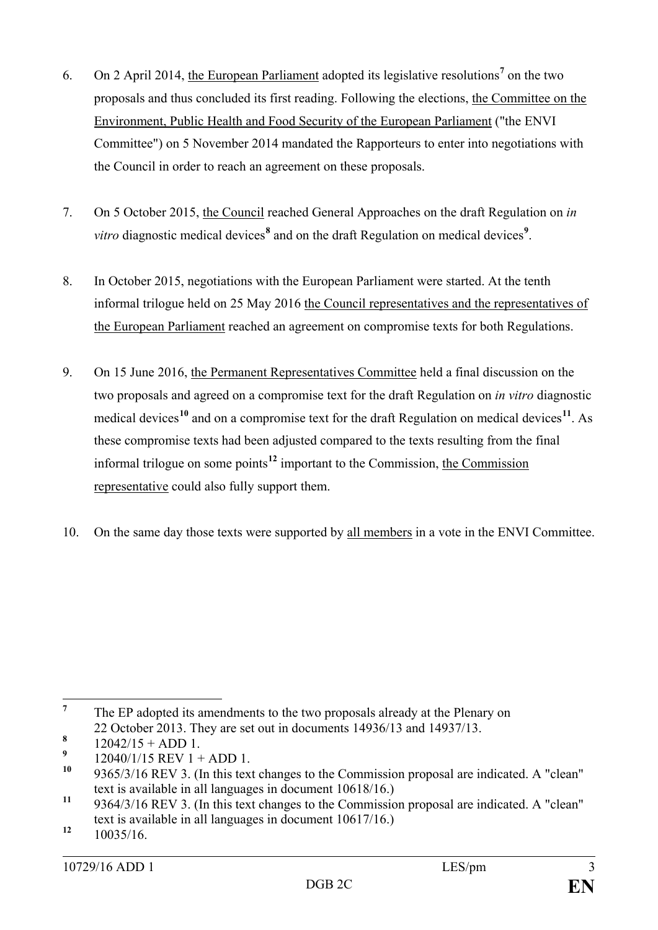- 6. On 2 April 2014, the European Parliament adopted its legislative resolutions**[7](#page-2-0)** on the two proposals and thus concluded its first reading. Following the elections, the Committee on the Environment, Public Health and Food Security of the European Parliament ("the ENVI Committee") on 5 November 2014 mandated the Rapporteurs to enter into negotiations with the Council in order to reach an agreement on these proposals.
- 7. On 5 October 2015, the Council reached General Approaches on the draft Regulation on *in vitro* diagnostic medical devices**[8](#page-2-1)** and on the draft Regulation on medical devices**[9](#page-2-2)** .
- 8. In October 2015, negotiations with the European Parliament were started. At the tenth informal trilogue held on 25 May 2016 the Council representatives and the representatives of the European Parliament reached an agreement on compromise texts for both Regulations.
- 9. On 15 June 2016, the Permanent Representatives Committee held a final discussion on the two proposals and agreed on a compromise text for the draft Regulation on *in vitro* diagnostic medical devices<sup>[10](#page-2-3)</sup> and on a compromise text for the draft Regulation on medical devices<sup>[11](#page-2-4)</sup>. As these compromise texts had been adjusted compared to the texts resulting from the final informal trilogue on some points**[12](#page-2-5)** important to the Commission, the Commission representative could also fully support them.
- 10. On the same day those texts were supported by all members in a vote in the ENVI Committee.

<span id="page-2-0"></span><sup>&</sup>lt;sup>7</sup> The EP adopted its amendments to the two proposals already at the Plenary on 22 October 2013. They are set out in documents 14936/13 and 14937/13.

<span id="page-2-1"></span> $\frac{8}{9}$  12042/15 + ADD 1.

<span id="page-2-2"></span><sup>&</sup>lt;sup>9</sup> 12040/1/15 REV 1 + ADD 1.

<span id="page-2-3"></span>**<sup>10</sup>** 9365/3/16 REV 3. (In this text changes to the Commission proposal are indicated. A "clean" text is available in all languages in document 10618/16.)

<span id="page-2-4"></span><sup>11 9364/3/16</sup> REV 3. (In this text changes to the Commission proposal are indicated. A "clean" text is available in all languages in document 10617/16.)

<span id="page-2-5"></span>**<sup>12</sup>** 10035/16.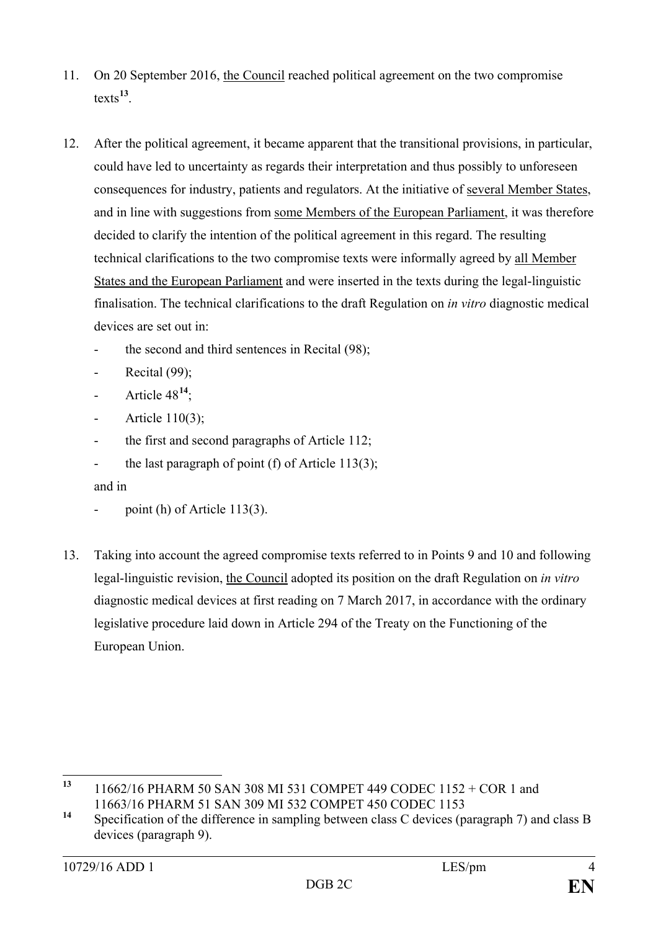- 11. On 20 September 2016, the Council reached political agreement on the two compromise texts**[13](#page-3-0)**.
- 12. After the political agreement, it became apparent that the transitional provisions, in particular, could have led to uncertainty as regards their interpretation and thus possibly to unforeseen consequences for industry, patients and regulators. At the initiative of several Member States, and in line with suggestions from some Members of the European Parliament, it was therefore decided to clarify the intention of the political agreement in this regard. The resulting technical clarifications to the two compromise texts were informally agreed by all Member States and the European Parliament and were inserted in the texts during the legal-linguistic finalisation. The technical clarifications to the draft Regulation on *in vitro* diagnostic medical devices are set out in:
	- the second and third sentences in Recital (98);
	- Recital  $(99)$ ;
	- Article  $48^{14}$  $48^{14}$  $48^{14}$
	- Article 110(3);
	- the first and second paragraphs of Article  $112$ ;
	- the last paragraph of point (f) of Article 113(3);

and in

- point (h) of Article  $113(3)$ .
- 13. Taking into account the agreed compromise texts referred to in Points 9 and 10 and following legal-linguistic revision, the Council adopted its position on the draft Regulation on *in vitro* diagnostic medical devices at first reading on 7 March 2017, in accordance with the ordinary legislative procedure laid down in Article 294 of the Treaty on the Functioning of the European Union.

<span id="page-3-0"></span>**<sup>13</sup>** 11662/16 PHARM 50 SAN 308 MI 531 COMPET 449 CODEC 1152 + COR 1 and 11663/16 PHARM 51 SAN 309 MI 532 COMPET 450 CODEC 1153

<span id="page-3-1"></span>**<sup>14</sup>** Specification of the difference in sampling between class C devices (paragraph 7) and class B devices (paragraph 9).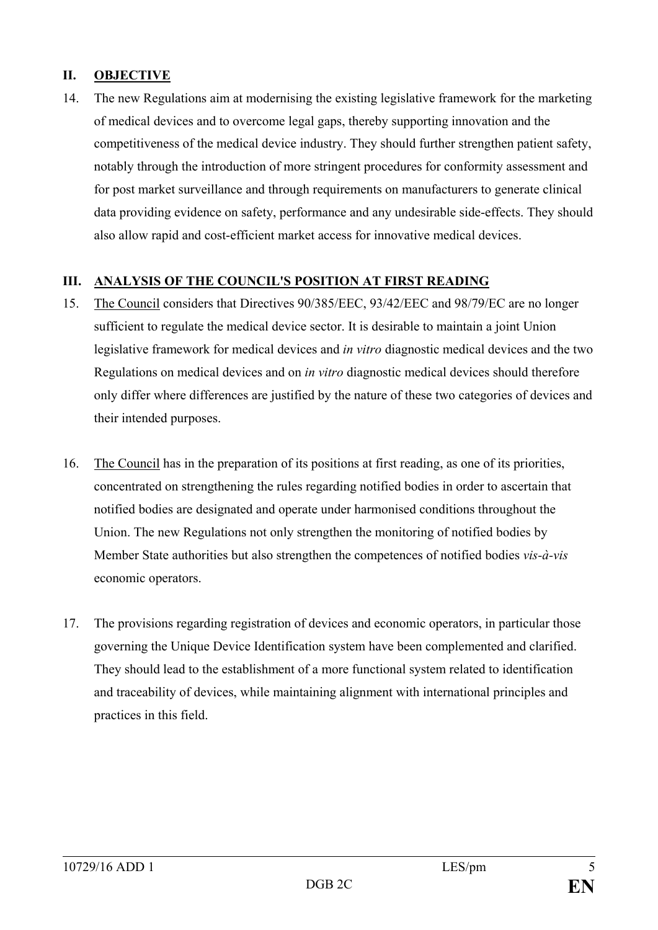#### **II. OBJECTIVE**

14. The new Regulations aim at modernising the existing legislative framework for the marketing of medical devices and to overcome legal gaps, thereby supporting innovation and the competitiveness of the medical device industry. They should further strengthen patient safety, notably through the introduction of more stringent procedures for conformity assessment and for post market surveillance and through requirements on manufacturers to generate clinical data providing evidence on safety, performance and any undesirable side-effects. They should also allow rapid and cost-efficient market access for innovative medical devices.

### **III. ANALYSIS OF THE COUNCIL'S POSITION AT FIRST READING**

- 15. The Council considers that Directives 90/385/EEC, 93/42/EEC and 98/79/EC are no longer sufficient to regulate the medical device sector. It is desirable to maintain a joint Union legislative framework for medical devices and *in vitro* diagnostic medical devices and the two Regulations on medical devices and on *in vitro* diagnostic medical devices should therefore only differ where differences are justified by the nature of these two categories of devices and their intended purposes.
- 16. The Council has in the preparation of its positions at first reading, as one of its priorities, concentrated on strengthening the rules regarding notified bodies in order to ascertain that notified bodies are designated and operate under harmonised conditions throughout the Union. The new Regulations not only strengthen the monitoring of notified bodies by Member State authorities but also strengthen the competences of notified bodies *vis-à-vis* economic operators.
- 17. The provisions regarding registration of devices and economic operators, in particular those governing the Unique Device Identification system have been complemented and clarified. They should lead to the establishment of a more functional system related to identification and traceability of devices, while maintaining alignment with international principles and practices in this field.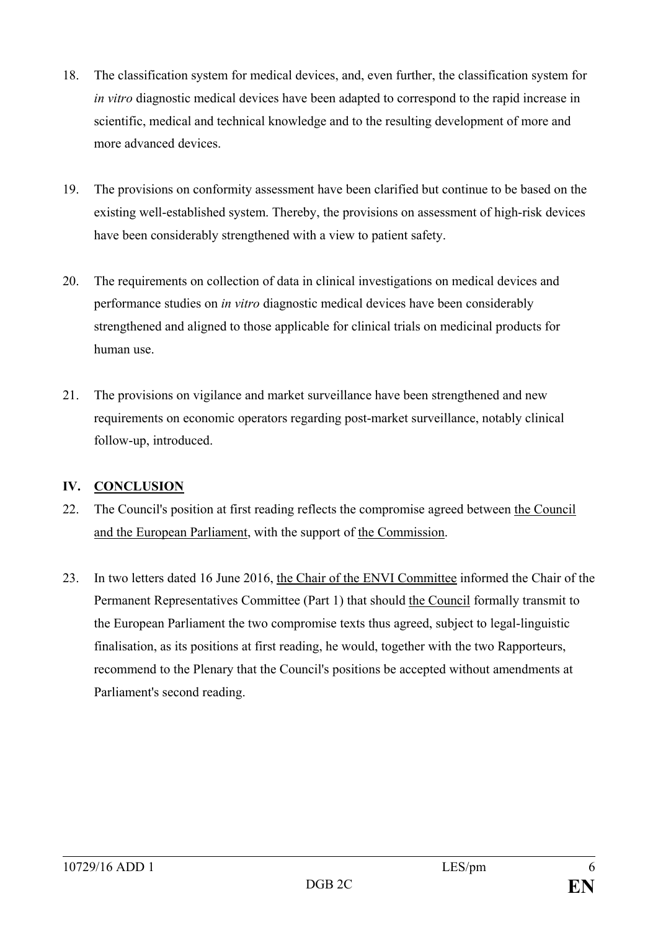- 18. The classification system for medical devices, and, even further, the classification system for *in vitro* diagnostic medical devices have been adapted to correspond to the rapid increase in scientific, medical and technical knowledge and to the resulting development of more and more advanced devices.
- 19. The provisions on conformity assessment have been clarified but continue to be based on the existing well-established system. Thereby, the provisions on assessment of high-risk devices have been considerably strengthened with a view to patient safety.
- 20. The requirements on collection of data in clinical investigations on medical devices and performance studies on *in vitro* diagnostic medical devices have been considerably strengthened and aligned to those applicable for clinical trials on medicinal products for human use.
- 21. The provisions on vigilance and market surveillance have been strengthened and new requirements on economic operators regarding post-market surveillance, notably clinical follow-up, introduced.

# **IV. CONCLUSION**

- 22. The Council's position at first reading reflects the compromise agreed between the Council and the European Parliament, with the support of the Commission.
- 23. In two letters dated 16 June 2016, the Chair of the ENVI Committee informed the Chair of the Permanent Representatives Committee (Part 1) that should the Council formally transmit to the European Parliament the two compromise texts thus agreed, subject to legal-linguistic finalisation, as its positions at first reading, he would, together with the two Rapporteurs, recommend to the Plenary that the Council's positions be accepted without amendments at Parliament's second reading.